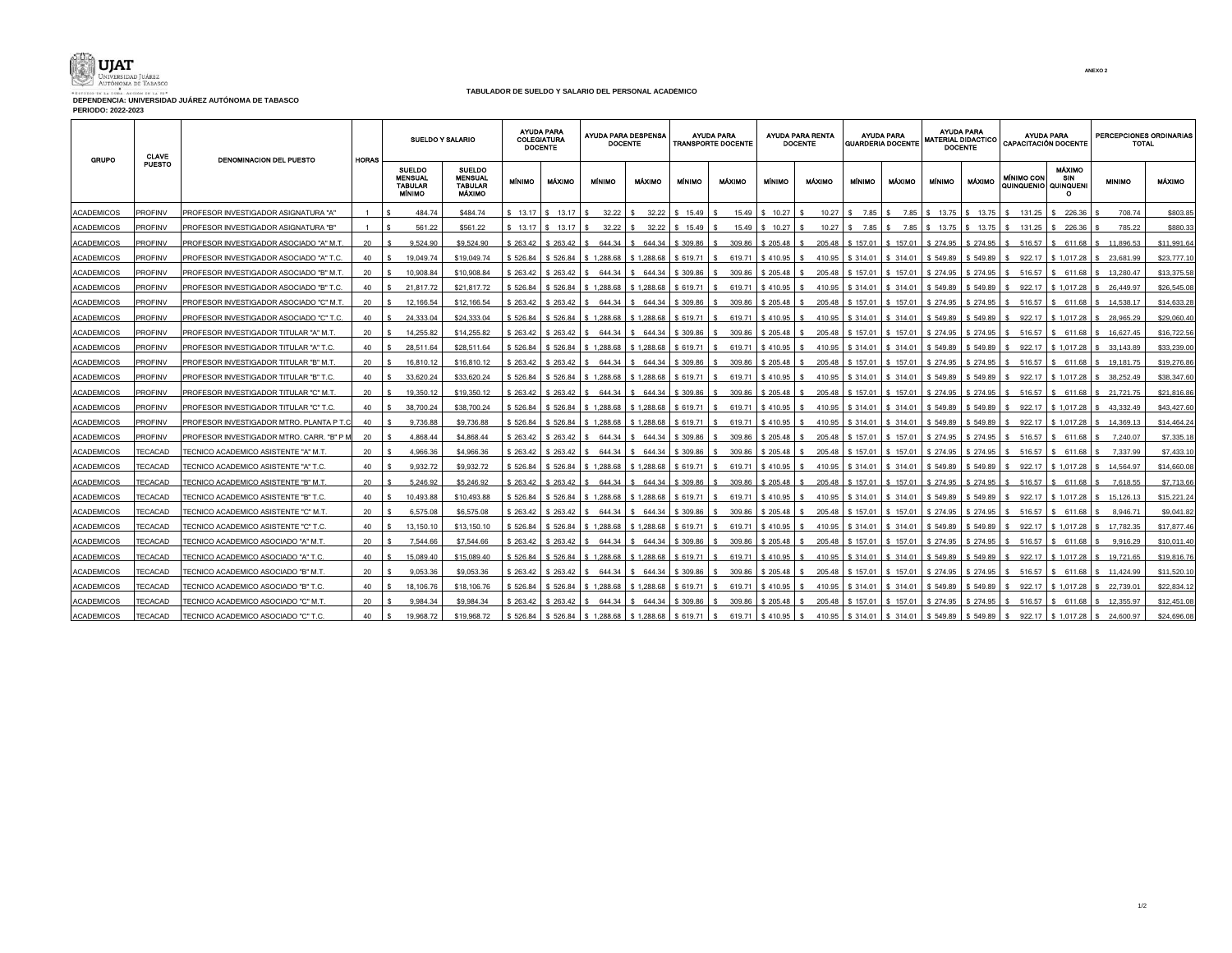

**DEPENDENCIA: UNIVERSIDAD JUÁREZ AUTÓNOMA DE TABASCO PERIODO: 2022-2023**

┯

## **TABULADOR DE SUELDO Y SALARIO DEL PERSONAL ACADÉMICO**  $\overline{\mathbf{r}}$

| <b>GRUPO</b>      | <b>CLAVE</b><br><b>PUESTO</b> | DENOMINACION DEL PUESTO                    | HORAS | <b>SUELDO Y SALARIO</b>                                     |                                                                    | <b>AYUDA PARA</b><br><b>COLEGIATURA</b><br><b>DOCENTE</b> |                   | <b>AYUDA PARA DESPENSA</b><br><b>DOCENTE</b> |                             | <b>AYUDA PARA</b><br><b>TRANSPORTE DOCENTE</b> |               |                      | <b>AYUDA PARA RENTA</b><br><b>DOCENTE</b> |                              | AYUDA PARA<br>GUARDERIA DOCENTE                    |               | AYUDA PARA<br>MATERIAL DIDACTICO<br><b>DOCENTE</b> |                                                                          | <b>AYUDA PARA</b><br><b>CAPACITACIÓN DOCENTE</b> |               | PERCEPCIONES ORDINARIAS<br><b>TOTAL</b> |  |
|-------------------|-------------------------------|--------------------------------------------|-------|-------------------------------------------------------------|--------------------------------------------------------------------|-----------------------------------------------------------|-------------------|----------------------------------------------|-----------------------------|------------------------------------------------|---------------|----------------------|-------------------------------------------|------------------------------|----------------------------------------------------|---------------|----------------------------------------------------|--------------------------------------------------------------------------|--------------------------------------------------|---------------|-----------------------------------------|--|
|                   |                               |                                            |       | <b>SUELDO</b><br>MENSUAL<br><b>TABULAR</b><br><b>MÍNIMO</b> | <b>SUELDO</b><br><b>MENSUAL</b><br><b>TABULAR</b><br><b>MÁXIMO</b> | <b>MÍN MO</b>                                             | <b>MÁXIMO</b>     | MÍNIMO                                       | <b>MÁXIMO</b>               | <b>MÍNIMO</b>                                  | <b>MÁXIMO</b> | <b>MINIMO</b>        | <b>MÁXIMO</b>                             | <b>MÍNIMO</b>                | <b>MÁXIMO</b>                                      | <b>MÍNIMO</b> | <b>MÁXIMO</b>                                      | MÍNIMO CON<br>QUINQUENIO QUINQUENI                                       | <b>MÁXIMO</b><br>SIN<br>$\circ$                  | <b>MINIMO</b> | <b>MÁXIMO</b>                           |  |
| <b>ACADEMICOS</b> | PROFINV                       | PROFESOR INVESTIGADOR ASIGNATURA "A"       |       | 484.74                                                      | \$484.74                                                           |                                                           | \$13.17 S 13.17 S |                                              | 32.22   \$ 32.22   \$ 15.49 |                                                |               | 15.49 \$ 10.27       | - S                                       |                              |                                                    |               |                                                    | 10.27   \$ 7.85   \$ 7.85   \$ 13.75   \$ 13.75   \$ 131.25              | \$226.36                                         | 708.74        | \$803.85                                |  |
| <b>ACADEMICOS</b> | <b>PROFINV</b>                | PROFESOR INVESTIGADOR ASIGNATURA "B"       |       | 561.22                                                      | \$561.22                                                           |                                                           | \$13.17 S 13.17 L | 32.22                                        | 32.22                       | \$15.49                                        |               | 15.49 \$ 10.27       |                                           | $10.27$ $\pm 5$ 7.85 $\pm 5$ | 7.85                                               | 13.75         | \$13.75                                            | 131.25                                                                   | 226.36                                           | 785.22        | \$880.33                                |  |
| <b>ACADEMICOS</b> | <b>PROFINV</b>                | PROFESOR INVESTIGADOR ASOCIADO "A" M.T.    | 20    | 9.524.90                                                    | \$9,524.90                                                         | \$263.42                                                  | \$263.42          | 644.34                                       | \$ 644.34                   | \$ 309.86                                      | 309.86        | \$205.48             | 205.48                                    |                              | \$157.01   \$157.01   \$274.95   \$274.95          |               |                                                    | 516.57                                                                   | \$611.68                                         | 11,896.53     | \$11,991.64                             |  |
| <b>ACADEMICOS</b> | <b>PROFINV</b>                | PROFESOR INVESTIGADOR ASOCIADO "A" T.C     | 40    | 19.049.74                                                   | \$19,049.74                                                        | \$526.84                                                  | \$526.84          | \$1,288.68                                   | \$1,288.68                  | \$619.71                                       |               | 619.71   \$410.95    | - S                                       |                              | 410.95   \$314.01   \$314.01   \$549.89   \$549.89 |               |                                                    | 922.17                                                                   | \$1.017.28                                       | 23.681.99     | \$23,777.10                             |  |
| <b>ACADEMICOS</b> | PROFINV                       | PROFESOR INVESTIGADOR ASOCIADO "B" M.T     | 20    | 10.908.84                                                   | \$10,908.84                                                        | \$263.42                                                  | \$263.42          | 644.34                                       | \$ 644.34                   | \$309.86                                       | 309.86        | \$205.48             | 205.48                                    |                              | $$157.01$ $$157.01$                                | \$274.95      | \$274.95                                           | 516.57                                                                   | \$ 611.68                                        | 13.280.47     | \$13,375.58                             |  |
| <b>ACADEMICOS</b> | PROFINV                       | PROFESOR INVESTIGADOR ASOCIADO "B" T.C.    | 40    | 21.817.72                                                   | \$21.817.72                                                        | \$526.84                                                  | \$526.84          | \$1.288.68                                   | \$1,288.68                  | \$619.71                                       | 619.71        | \$410.95             | 410.95                                    |                              | $$314.01$ $$314.01$                                | \$549.89      | \$549.89                                           | 922.17                                                                   | \$1.017.28                                       | \$ 26,449.97  | \$26,545.08                             |  |
| <b>ACADEMICOS</b> | <b>PROFINV</b>                | PROFESOR INVESTIGADOR ASOCIADO "C" M.T     | 20    | 12.166.54                                                   | \$12,166.54                                                        | \$263.42                                                  | \$263.42          | 644.34                                       | \$ 644.34                   | \$309.86                                       | 309.86        | \$205.48             | 205.48                                    |                              | $$157.01$ $$157.01$                                | \$274.95      | $$274.95$ \ \$                                     | 516.57                                                                   | \$ 611.68                                        | 14.538.17     | \$14,633,28                             |  |
| <b>ACADEMICOS</b> | <b>PROFINV</b>                | PROFESOR INVESTIGADOR ASOCIADO "C" T.C.    | 40    | 24.333.04                                                   | \$24.333.04                                                        | \$526.84                                                  |                   | $$526.84$ $$1.288.68$                        | \$1.288.68                  | $$619.71$ $$$                                  |               | 619.71 \$410.95      | 410.95<br>- S                             |                              | \$ 314.01   \$ 314.01   \$ 549.89   \$ 549.89      |               |                                                    | 922.17                                                                   | \$1.017.28                                       | \$28,965.29   | \$29,060,40                             |  |
| <b>ACADEMICOS</b> | <b>PROFINV</b>                | PROFESOR INVESTIGADOR TITULAR "A" M.T.     | 20    | 14.255.82                                                   | \$14,255.82                                                        | \$ 263.42                                                 | \$263.42          | 644.34                                       | \$ 644.34                   | \$309.86                                       | 309.86        | \$205.48             | 205.48<br>s.                              |                              | $$157.01$ $$157.01$                                | \$274.95      | \$274.95                                           | \$ 516.57                                                                | \$611.68                                         | \$16,627,45   | \$16,722.56                             |  |
| <b>ACADEMICOS</b> | <b>PROFINV</b>                | PROFESOR INVESTIGADOR TITULAR "A" T.C.     | 40    | 28,511.64                                                   | \$28.511.64                                                        | \$526.84                                                  | \$526.84          | \$1.288.68                                   | \$1,288.68                  | \$619.71                                       | 619.71        | \$410.95             | 410.95                                    | \$314.01                     | \$ 314.01                                          | \$549.89      | \$549.89                                           | 922.17                                                                   | \$1.017.28                                       | 33.143.89     | \$33,239.00                             |  |
| <b>ACADEMICOS</b> | <b>PROFINV</b>                | PROFESOR INVESTIGADOR TITULAR "B" M.T.     | 20    | 16.810.12                                                   | \$16,810.12                                                        | \$ 263.42                                                 | \$263.42          | 644.34                                       | \$ 644.34                   | \$309.86                                       | 309.86        | \$205.48             | 205.48                                    |                              | $$157.01$ $$157.01$                                | \$274.95      | $$274.95$ \$                                       | 516.57                                                                   | \$ 611.68                                        | 19.181.75     | \$19,276.86                             |  |
| ACADEMICOS        | <b>PROFINV</b>                | PROFESOR INVESTIGADOR TITULAR "B" T.C.     | 40    | 33.620.24                                                   | \$33,620.24                                                        | \$526.84                                                  | \$526.84          | \$1.288.68                                   | \$1.288.68                  | \$619.71                                       | 619.71        | \$410.95             | 410.95                                    |                              | $$314.01$ $$314.01$                                | \$549.89      | \$549.89                                           | 922.17                                                                   | \$1.017.28                                       | 38.252.49     | \$38,347,60                             |  |
| <b>ACADEMICOS</b> | PROFINV                       | PROFESOR INVESTIGADOR TITULAR "C" M.T      | 20    | 19.350.12                                                   | \$19,350.12                                                        | \$263.42                                                  | \$ 263.42         | 644.34<br>-S                                 | \$ 644.34                   | \$ 309.86                                      | 309.86        | \$205.48             | 205.48                                    |                              | \$157.01 \$157.01                                  | \$274.95      | \$274.95                                           | 516.57                                                                   | \$ 611.68                                        | 21,721.75     | \$21,816.86                             |  |
| <b>ACADEMICOS</b> | <b>PROFINV</b>                | PROFESOR INVESTIGADOR TITULAR "C" T.C.     | 40    | 38.700.24                                                   | \$38,700.24                                                        | \$526.84                                                  | \$526.84          | \$1.288.68                                   | \$1,288.68                  | \$619.71                                       | 619.71        | \$410.95             | 410.95                                    | \$314.01                     | \$ 314.01                                          | \$549.89      | \$549.89                                           | 922.17                                                                   | \$1.017.28                                       | 43.332.49     | \$43,427,60                             |  |
| <b>ACADEMICOS</b> | <b>PROFINV</b>                | PROFESOR INVESTIGADOR MTRO. PLANTA P T.(   | 40    | 9,736.88                                                    | \$9,736.88                                                         | \$526.84                                                  | \$526.84          | \$1,288.68                                   | \$1.288.68                  | \$619.71                                       | 619.71        | \$410.95             | 410.95                                    |                              | $$314.01$ $$314.01$                                | \$549.89      | \$549.89                                           | 922.17                                                                   | \$1.017.28                                       | \$14,369.13   | \$14,464.24                             |  |
| <b>ACADEMICOS</b> | <b>PROFINV</b>                | PROFESOR INVESTIGADOR MTRO. CARR. "B" P M  | 20    | 4.868.44                                                    | \$4,868.44                                                         | \$263.42                                                  | \$263.42          | \$ 644.34                                    | \$ 644.34                   | \$309.86                                       | 309.86        | \$205.48             | 205.48<br>-S                              | \$157.01                     | S 157.01                                           | \$274.95      |                                                    | $$274.95$ $$516.57$                                                      | \$ 611.68                                        | 7.240.07      | \$7,335.18                              |  |
| <b>ACADEMICOS</b> | TECACAD                       | FECNICO ACADEMICO ASISTENTE "A" M.T.       | 20    | 4,966.36                                                    | \$4,966.36                                                         | \$263.42                                                  | \$263.42          | 644.34<br>-S.                                | \$ 644.34                   | \$309.86                                       |               | 309.86 \$205.48      | 205.48                                    |                              | $$157.01$ $$157.01$                                | \$274.95      | \$274.95                                           | 516.57                                                                   | \$ 611.68                                        | 7,337.99      | \$7,433.10                              |  |
| <b>ACADEMICOS</b> | TECACAD                       | TECNICO ACADEMICO ASISTENTE "A" T.C.       | 40    | 9,932.72                                                    | \$9,932.72                                                         | \$526.84                                                  | \$526.84          | \$1.288.68                                   | \$1.288.68                  | \$619.71                                       | 619.71        | \$410.95             | 410.95                                    | \$314.01                     | \$ 314.01                                          | \$549.89      | \$549.89                                           | 922.17                                                                   | \$1.017.28                                       | 14.564.97     | \$14,660.08                             |  |
| ACADEMICOS        | TECACAD                       | FECNICO ACADEMICO ASISTENTE "B" M.T        | 20    | 5,246.92                                                    | \$5,246.92                                                         | \$263.42                                                  |                   | \$263.42   \$644.34                          | \$ 644.34                   | \$ 309.86                                      |               | 309.86 \$205.48      | 205.48<br>- S                             |                              | $$157.01$ $$157.01$ $$274.95$                      |               |                                                    | $$274.95$ $$516.57$                                                      | \$ 611.68                                        | 7,618.55      | \$7,713.66                              |  |
| <b>ACADEMICOS</b> | TECACAD                       | FECNICO ACADEMICO ASISTENTE "B" T.C        | 40    | 10.493.88                                                   | \$10,493.88                                                        | \$526.84                                                  | \$526.84          | \$1.288.68                                   | \$1.288.68                  | \$619.71                                       | 619.71        | \$410.95             | 410.95                                    |                              | \$ 314.01   \$ 314.01                              | \$549.89      | \$549.89                                           | 922.17                                                                   | \$1.017.28                                       | 15.126.13     | \$15,221.24                             |  |
| <b>ACADEMICOS</b> | TECACAD                       | 'ECNICO ACADEMICO ASISTENTE "C" M.T        | 20    | 6,575.08                                                    | \$6,575.08                                                         | \$263.42                                                  | \$263.42          | \$ 644.34                                    | \$644.34                    | \$309.86                                       | 309.86        | \$205.48             | 205.48                                    |                              | $$157.01$ $$157.01$                                | \$274.95      | \$274.95                                           | \$ 516.57                                                                | \$ 611.68                                        | 8,946.71      | \$9,041.82                              |  |
| <b>ACADEMICOS</b> | TECACAD                       | FECNICO ACADEMICO ASISTENTE "C" T.C.       | 40    | 13,150.10                                                   | \$13,150.10                                                        | \$526.84                                                  | \$526.84          | \$1,288.68                                   | \$1,288.68                  | \$619.71                                       | 619.71        | \$410.95             | 410.95                                    | \$314.01                     | \$314.01                                           | \$549.89      | \$549.89                                           | 922.17                                                                   | \$1,017.28                                       | 17,782.35     | \$17,877.46                             |  |
| <b>ACADEMICOS</b> | <b>TECACAD</b>                | <b>FECNICO ACADEMICO ASOCIADO "A" M.T.</b> | 20    | 7,544.66                                                    | \$7,544.66                                                         | \$263.42                                                  |                   | \$263.42 \$644.34 \$644.34                   |                             | $$309.86 \t{S}$                                |               | $309.86$ \$205.48 \$ |                                           |                              |                                                    |               |                                                    | 205.48   \$157.01   \$157.01   \$274.95   \$274.95   \$516.57   \$611.68 |                                                  | 9,916.29      | \$10,011.40                             |  |
| ACADEMICOS        | TECACAD                       | FECNICO ACADEMICO ASOCIADO "A" T.C         | 40    | 15.089.40                                                   | \$15,089.40                                                        | \$526.84                                                  | \$526.84          | \$1.288.68                                   | \$1.288.68                  | \$619.71                                       | 619.71        | \$410.95             | -S                                        |                              | 410.95   \$314.01   \$314.01                       | \$549.89      | \$549.89                                           | 922.17                                                                   | \$1.017.28                                       | 19.721.65     | \$19,816.76                             |  |
| <b>ACADEMICOS</b> | TECACAD                       | FECNICO ACADEMICO ASOCIADO "B" M.T.        | 20    | 9.053.36                                                    | \$9.053.36                                                         | \$263.42                                                  | \$263.42          | 644.34                                       | 644.34                      | \$309.86                                       | 309.86        | \$205.48             | 205.48                                    | \$157.01                     | \$157.01                                           | \$274.95      | \$274.95                                           | 516.57                                                                   | \$611.68                                         | 11,424.99     | \$11,520.10                             |  |
| ACADEMICOS        | TECACAD                       | FECNICO ACADEMICO ASOCIADO "B" T.C         | 40    | 18.106.76                                                   | \$18,106.76                                                        | \$526.84                                                  | \$526.84          | \$1.288.68                                   | \$1.288.68                  | \$619.71                                       | 619.71        | \$410.95             | 410.95                                    |                              | \$ 314.01 \$ 314.01                                | \$549.89      | \$549.89                                           | 922.17                                                                   | \$1.017.28                                       | 22.739.01     | \$22,834.12                             |  |
| <b>ACADEMICOS</b> | TECACAD                       | FECNICO ACADEMICO ASOCIADO "C" M.T         | 20    | 9,984.34                                                    | \$9.984.34                                                         | \$263.42                                                  | \$263.42          | \$ 644.34                                    | \$ 644.34                   | \$ 309.86                                      | 309.86        | \$205.48             | 205.48                                    | \$157.01                     | \$157.01                                           | \$274.95      | \$274.95                                           | 516.57                                                                   | \$ 611.68                                        | 12,355.97     | \$12,451.08                             |  |
| <b>ACADEMICOS</b> | TECACAD                       | <b>FECNICO ACADEMICO ASOCIADO "C" T.C</b>  | 40    | 19 968 72                                                   | \$19,968.72                                                        | \$526.84                                                  | \$526.84          | \$1.288.68                                   | \$1.288.68                  | \$619.71                                       | 619.71        | \$410.95             | 410.95<br>$\mathbf{s}$                    | \$314.01                     | \$ 314.01                                          | \$549.89      | \$549.89                                           | 922.17                                                                   | \$1.017.28                                       | 24.600.97     | \$24,696.08                             |  |

┯